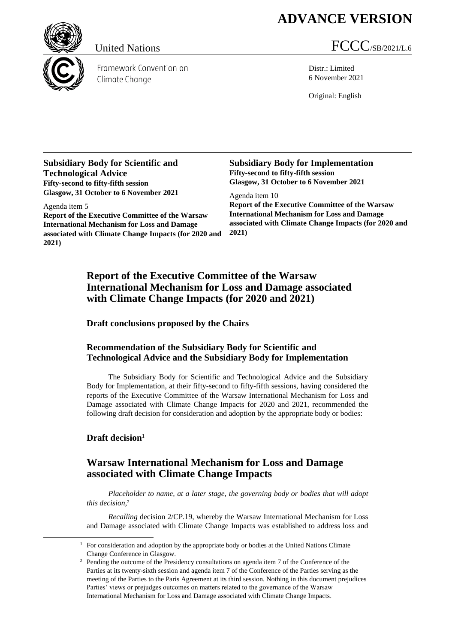# **ADVANCE VERSION**

Framework Convention on Climate Change

## United Nations FCCC/SB/2021/L.6

Distr.: Limited 6 November 2021

Original: English

**Subsidiary Body for Scientific and Technological Advice Fifty-second to fifty-fifth session Glasgow, 31 October to 6 November 2021**

Agenda item 5 **Report of the Executive Committee of the Warsaw International Mechanism for Loss and Damage associated with Climate Change Impacts (for 2020 and 2021)**

**Subsidiary Body for Implementation Fifty-second to fifty-fifth session Glasgow, 31 October to 6 November 2021**

Agenda item 10 **Report of the Executive Committee of the Warsaw International Mechanism for Loss and Damage associated with Climate Change Impacts (for 2020 and 2021)**

### **Report of the Executive Committee of the Warsaw International Mechanism for Loss and Damage associated with Climate Change Impacts (for 2020 and 2021)**

**Draft conclusions proposed by the Chairs**

#### **Recommendation of the Subsidiary Body for Scientific and Technological Advice and the Subsidiary Body for Implementation**

The Subsidiary Body for Scientific and Technological Advice and the Subsidiary Body for Implementation, at their fifty-second to fifty-fifth sessions, having considered the reports of the Executive Committee of the Warsaw International Mechanism for Loss and Damage associated with Climate Change Impacts for 2020 and 2021, recommended the following draft decision for consideration and adoption by the appropriate body or bodies:

### **Draft decision<sup>1</sup>**

## **Warsaw International Mechanism for Loss and Damage associated with Climate Change Impacts**

*Placeholder to name, at a later stage, the governing body or bodies that will adopt this decision*, 2

*Recalling* decision 2/CP.19, whereby the Warsaw International Mechanism for Loss and Damage associated with Climate Change Impacts was established to address loss and

 $1$  For consideration and adoption by the appropriate body or bodies at the United Nations Climate Change Conference in Glasgow.

<sup>&</sup>lt;sup>2</sup> Pending the outcome of the Presidency consultations on agenda item 7 of the Conference of the Parties at its twenty-sixth session and agenda item 7 of the Conference of the Parties serving as the meeting of the Parties to the Paris Agreement at its third session. Nothing in this document prejudices Parties' views or prejudges outcomes on matters related to the governance of the Warsaw International Mechanism for Loss and Damage associated with Climate Change Impacts.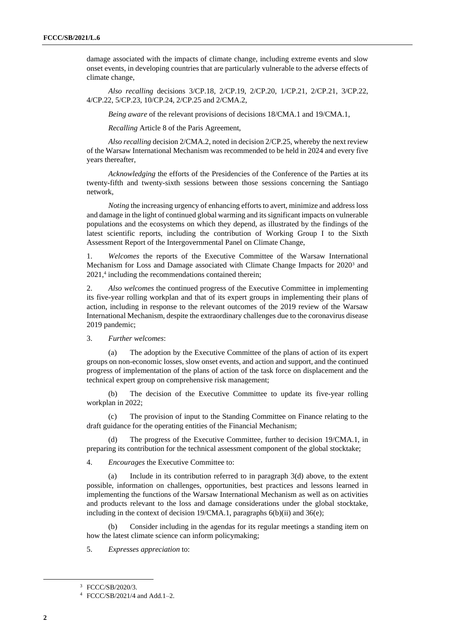damage associated with the impacts of climate change, including extreme events and slow onset events, in developing countries that are particularly vulnerable to the adverse effects of climate change,

*Also recalling* decisions 3/CP.18, 2/CP.19, 2/CP.20, 1/CP.21, 2/CP.21, 3/CP.22, 4/CP.22, 5/CP.23, 10/CP.24, 2/CP.25 and 2/CMA.2,

*Being aware* of the relevant provisions of decisions 18/CMA.1 and 19/CMA.1,

*Recalling* Article 8 of the Paris Agreement,

*Also recalling* decision 2/CMA.2, noted in decision 2/CP.25, whereby the next review of the Warsaw International Mechanism was recommended to be held in 2024 and every five years thereafter,

*Acknowledging* the efforts of the Presidencies of the Conference of the Parties at its twenty-fifth and twenty-sixth sessions between those sessions concerning the Santiago network,

*Noting* the increasing urgency of enhancing efforts to avert, minimize and address loss and damage in the light of continued global warming and itssignificant impacts on vulnerable populations and the ecosystems on which they depend, as illustrated by the findings of the latest scientific reports, including the contribution of Working Group I to the Sixth Assessment Report of the Intergovernmental Panel on Climate Change,

1. *Welcomes* the reports of the Executive Committee of the Warsaw International Mechanism for Loss and Damage associated with Climate Change Impacts for 2020<sup>3</sup> and 2021,<sup>4</sup> including the recommendations contained therein;

2. *Also welcomes* the continued progress of the Executive Committee in implementing its five-year rolling workplan and that of its expert groups in implementing their plans of action, including in response to the relevant outcomes of the 2019 review of the Warsaw International Mechanism, despite the extraordinary challenges due to the coronavirus disease 2019 pandemic;

3. *Further welcomes*:

(a) The adoption by the Executive Committee of the plans of action of its expert groups on non-economic losses, slow onset events, and action and support, and the continued progress of implementation of the plans of action of the task force on displacement and the technical expert group on comprehensive risk management;

(b) The decision of the Executive Committee to update its five-year rolling workplan in 2022;

(c) The provision of input to the Standing Committee on Finance relating to the draft guidance for the operating entities of the Financial Mechanism;

The progress of the Executive Committee, further to decision 19/CMA.1, in preparing its contribution for the technical assessment component of the global stocktake;

4. *Encourages* the Executive Committee to:

(a) Include in its contribution referred to in paragraph 3(d) above, to the extent possible, information on challenges, opportunities, best practices and lessons learned in implementing the functions of the Warsaw International Mechanism as well as on activities and products relevant to the loss and damage considerations under the global stocktake, including in the context of decision 19/CMA.1, paragraphs 6(b)(ii) and 36(e);

Consider including in the agendas for its regular meetings a standing item on how the latest climate science can inform policymaking;

5. *Expresses appreciation* to:

<sup>3</sup> FCCC/SB/2020/3.

<sup>4</sup> FCCC/SB/2021/4 and Add.1–2.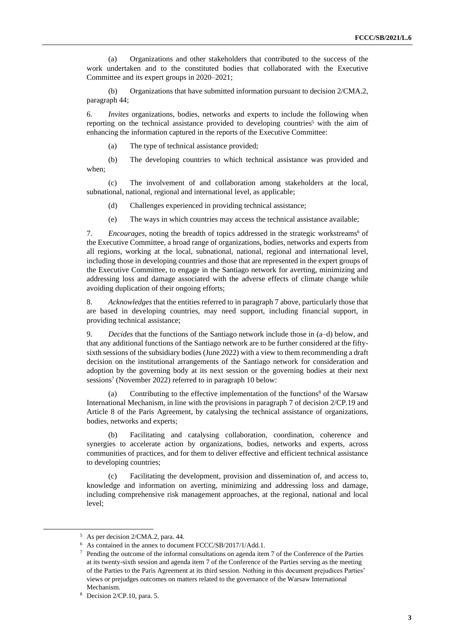(a) Organizations and other stakeholders that contributed to the success of the work undertaken and to the constituted bodies that collaborated with the Executive Committee and its expert groups in 2020–2021;

(b) Organizations that have submitted information pursuant to decision 2/CMA.2, paragraph 44;

6. *Invites* organizations, bodies, networks and experts to include the following when reporting on the technical assistance provided to developing countries<sup>5</sup> with the aim of enhancing the information captured in the reports of the Executive Committee:

(a) The type of technical assistance provided;

(b) The developing countries to which technical assistance was provided and when;

(c) The involvement of and collaboration among stakeholders at the local, subnational, national, regional and international level, as applicable;

(d) Challenges experienced in providing technical assistance;

(e) The ways in which countries may access the technical assistance available;

7. *Encourages*, noting the breadth of topics addressed in the strategic workstreams<sup>6</sup> of the Executive Committee, a broad range of organizations, bodies, networks and experts from all regions, working at the local, subnational, national, regional and international level, including those in developing countries and those that are represented in the expert groups of the Executive Committee, to engage in the Santiago network for averting, minimizing and addressing loss and damage associated with the adverse effects of climate change while avoiding duplication of their ongoing efforts;

8. *Acknowledges* that the entities referred to in paragraph 7 above, particularly those that are based in developing countries, may need support, including financial support, in providing technical assistance;

9. *Decides* that the functions of the Santiago network include those in (a–d) below, and that any additional functions of the Santiago network are to be further considered at the fiftysixth sessions of the subsidiary bodies (June 2022) with a view to them recommending a draft decision on the institutional arrangements of the Santiago network for consideration and adoption by the governing body at its next session or the governing bodies at their next sessions<sup>7</sup> (November 2022) referred to in paragraph 10 below:

(a) Contributing to the effective implementation of the functions<sup>8</sup> of the Warsaw International Mechanism, in line with the provisions in paragraph 7 of decision 2/CP.19 and Article 8 of the Paris Agreement, by catalysing the technical assistance of organizations, bodies, networks and experts;

Facilitating and catalysing collaboration, coordination, coherence and synergies to accelerate action by organizations, bodies, networks and experts, across communities of practices, and for them to deliver effective and efficient technical assistance to developing countries;

(c) Facilitating the development, provision and dissemination of, and access to, knowledge and information on averting, minimizing and addressing loss and damage, including comprehensive risk management approaches, at the regional, national and local level;

<sup>5</sup> As per decision 2/CMA.2, para. 44.

<sup>6</sup> As contained in the annex to document FCCC/SB/2017/1/Add.1.

<sup>7</sup> Pending the outcome of the informal consultations on agenda item 7 of the Conference of the Parties at its twenty-sixth session and agenda item 7 of the Conference of the Parties serving as the meeting of the Parties to the Paris Agreement at its third session. Nothing in this document prejudices Parties' views or prejudges outcomes on matters related to the governance of the Warsaw International Mechanism.

<sup>8</sup> Decision 2/CP.10, para. 5.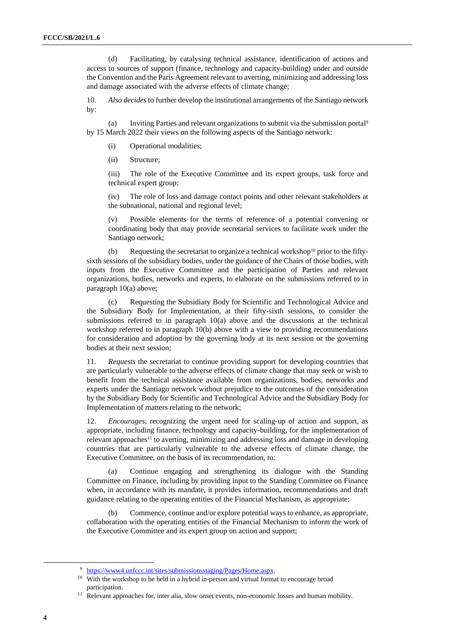(d) Facilitating, by catalysing technical assistance, identification of actions and access to sources of support (finance, technology and capacity-building) under and outside the Convention and the Paris Agreement relevant to averting, minimizing and addressing loss and damage associated with the adverse effects of climate change;

10. *Also decides* to further develop the institutional arrangements of the Santiago network by:

(a) Inviting Parties and relevant organizations to submit via the submission portal<sup>9</sup> by 15 March 2022 their views on the following aspects of the Santiago network:

- (i) Operational modalities;
- (ii) Structure;

(iii) The role of the Executive Committee and its expert groups, task force and technical expert group;

(iv) The role of loss and damage contact points and other relevant stakeholders at the subnational, national and regional level;

(v) Possible elements for the terms of reference of a potential convening or coordinating body that may provide secretarial services to facilitate work under the Santiago network;

(b) Requesting the secretariat to organize a technical workshop<sup>10</sup> prior to the fiftysixth sessions of the subsidiary bodies, under the guidance of the Chairs of those bodies, with inputs from the Executive Committee and the participation of Parties and relevant organizations, bodies, networks and experts, to elaborate on the submissions referred to in paragraph 10(a) above;

(c) Requesting the Subsidiary Body for Scientific and Technological Advice and the Subsidiary Body for Implementation, at their fifty-sixth sessions, to consider the submissions referred to in paragraph 10(a) above and the discussions at the technical workshop referred to in paragraph 10(b) above with a view to providing recommendations for consideration and adoption by the governing body at its next session or the governing bodies at their next session;

11. *Requests* the secretariat to continue providing support for developing countries that are particularly vulnerable to the adverse effects of climate change that may seek or wish to benefit from the technical assistance available from organizations, bodies, networks and experts under the Santiago network without prejudice to the outcomes of the consideration by the Subsidiary Body for Scientific and Technological Advice and the Subsidiary Body for Implementation of matters relating to the network;

12. *Encourages*, recognizing the urgent need for scaling-up of action and support, as appropriate, including finance, technology and capacity-building, for the implementation of relevant approaches<sup>11</sup> to averting, minimizing and addressing loss and damage in developing countries that are particularly vulnerable to the adverse effects of climate change, the Executive Committee, on the basis of its recommendation, to:

(a) Continue engaging and strengthening its dialogue with the Standing Committee on Finance, including by providing input to the Standing Committee on Finance when, in accordance with its mandate, it provides information, recommendations and draft guidance relating to the operating entities of the Financial Mechanism, as appropriate;

(b) Commence, continue and/or explore potential ways to enhance, as appropriate, collaboration with the operating entities of the Financial Mechanism to inform the work of the Executive Committee and its expert group on action and support;

<sup>9</sup> [https://www4.unfccc.int/sites/submissionsstaging/Pages/Home.aspx.](https://www4.unfccc.int/sites/submissionsstaging/Pages/Home.aspx)

<sup>&</sup>lt;sup>10</sup> With the workshop to be held in a hybrid in-person and virtual format to encourage broad participation.

<sup>&</sup>lt;sup>11</sup> Relevant approaches for, inter alia, slow onset events, non-economic losses and human mobility.